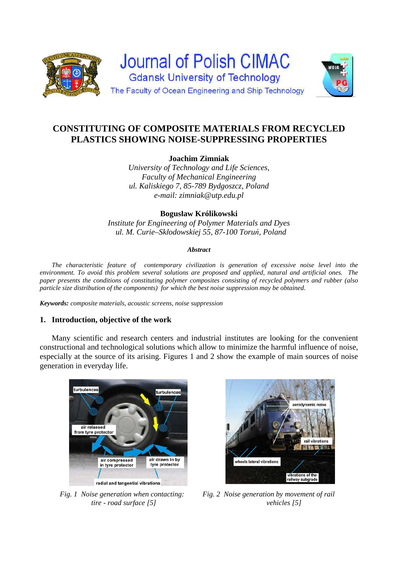

# **CONSTITUTING OF COMPOSITE MATERIALS FROM RECYCLED PLASTICS SHOWING NOISE-SUPPRESSING PROPERTIES**

# **Joachim Zimniak**

*University of Technology and Life Sciences, Faculty of Mechanical Engineering ul. Kaliskiego 7, 85-789 Bydgoszcz, Poland e-mail: zimniak@utp.edu.pl*

## **Bogusław Królikowski**

*Institute for Engineering of Polymer Materials and Dyes ul. M. Curie–Skłodowskiej 55, 87-100 Toruń, Poland* 

#### *Abstract*

 *The characteristic feature of contemporary civilization is generation of excessive noise level into the environment. To avoid this problem several solutions are proposed and applied, natural and artificial ones. The paper presents the conditions of constituting polymer composites consisting of recycled polymers and rubber (also particle size distribution of the components) for which the best noise suppression may be obtained.* 

*Keywords: composite materials, acoustic screens, noise suppression* 

## **1. Introduction, objective of the work**

 Many scientific and research centers and industrial institutes are looking for the convenient constructional and technological solutions which allow to minimize the harmful influence of noise, especially at the source of its arising. Figures 1 and 2 show the example of main sources of noise generation in everyday life.





 *Fig. 1 Noise generation when contacting: Fig. 2 Noise generation by movement of rail tire - road surface [5] vehicles [5]*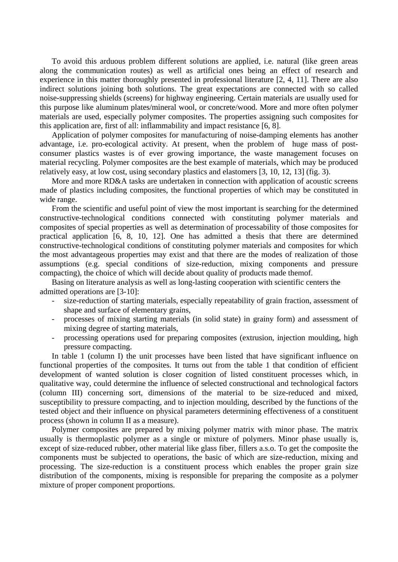To avoid this arduous problem different solutions are applied, i.e. natural (like green areas along the communication routes) as well as artificial ones being an effect of research and experience in this matter thoroughly presented in professional literature [2, 4, 11]. There are also indirect solutions joining both solutions. The great expectations are connected with so called noise-suppressing shields (screens) for highway engineering. Certain materials are usually used for this purpose like aluminum plates/mineral wool, or concrete/wood. More and more often polymer materials are used, especially polymer composites. The properties assigning such composites for this application are, first of all: inflammability and impact resistance [6, 8].

 Application of polymer composites for manufacturing of noise-damping elements has another advantage, i.e. pro-ecological activity. At present, when the problem of huge mass of postconsumer plastics wastes is of ever growing importance, the waste management focuses on material recycling. Polymer composites are the best example of materials, which may be produced relatively easy, at low cost, using secondary plastics and elastomers [3, 10, 12, 13] (fig. 3).

More and more RD&A tasks are undertaken in connection with application of acoustic screens made of plastics including composites, the functional properties of which may be constituted in wide range.

 From the scientific and useful point of view the most important is searching for the determined constructive-technological conditions connected with constituting polymer materials and composites of special properties as well as determination of processability of those composites for practical application [6, 8, 10, 12]. One has admitted a thesis that there are determined constructive-technological conditions of constituting polymer materials and composites for which the most advantageous properties may exist and that there are the modes of realization of those assumptions (e.g. special conditions of size-reduction, mixing components and pressure compacting), the choice of which will decide about quality of products made themof.

 Basing on literature analysis as well as long-lasting cooperation with scientific centers the admitted operations are [3-10]:

- size-reduction of starting materials, especially repeatability of grain fraction, assessment of shape and surface of elementary grains,
- processes of mixing starting materials (in solid state) in grainy form) and assessment of mixing degree of starting materials,
- processing operations used for preparing composites (extrusion, injection moulding, high pressure compacting.

In table 1 (column I) the unit processes have been listed that have significant influence on functional properties of the composites. It turns out from the table 1 that condition of efficient development of wanted solution is closer cognition of listed constituent processes which, in qualitative way, could determine the influence of selected constructional and technological factors (column III) concerning sort, dimensions of the material to be size-reduced and mixed, susceptibility to pressure compacting, and to injection moulding, described by the functions of the tested object and their influence on physical parameters determining effectiveness of a constituent process (shown in column II as a measure).

 Polymer composites are prepared by mixing polymer matrix with minor phase. The matrix usually is thermoplastic polymer as a single or mixture of polymers. Minor phase usually is, except of size-reduced rubber, other material like glass fiber, fillers a.s.o. To get the composite the components must be subjected to operations, the basic of which are size-reduction, mixing and processing. The size-reduction is a constituent process which enables the proper grain size distribution of the components, mixing is responsible for preparing the composite as a polymer mixture of proper component proportions.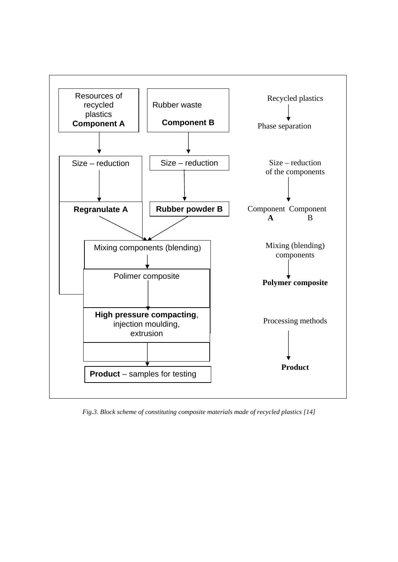

*Fig.3. Block scheme of constituting composite materials made of recycled plastics [14]*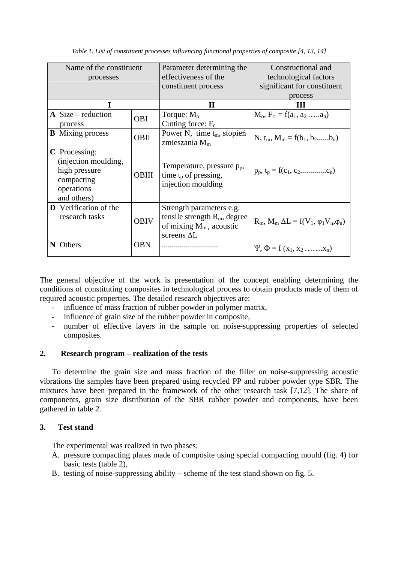| Name of the constituent<br>processes                                                              |              | Parameter determining the<br>effectiveness of the<br>constituent process                                        | Constructional and<br>technological factors<br>significant for constituent |
|---------------------------------------------------------------------------------------------------|--------------|-----------------------------------------------------------------------------------------------------------------|----------------------------------------------------------------------------|
|                                                                                                   |              | $\mathbf H$                                                                                                     | process<br>Ш                                                               |
| $\bf{A}$ Size – reduction<br>process                                                              | <b>OBI</b>   | Torque: $Mo$<br>Cutting force: $F_c$                                                                            | $M_o, F_c = f(a_1, a_2, \ldots, a_n)$                                      |
| <b>B</b> Mixing process                                                                           | OBII         | Power N, time $t_m$ , stopień<br>zmieszania $Mm$                                                                | N, $t_m$ , $M_m = f(b_1, b_2, \ldots, b_n)$                                |
| C Processing:<br>(injection moulding,<br>high pressure<br>compacting<br>operations<br>and others) | <b>OBIII</b> | Temperature, pressure $p_p$ ,<br>time $t_p$ of pressing,<br>injection moulding                                  | $p_p, t_p = f(c_1, c_2 \dots (c_n))$                                       |
| <b>D</b> Verification of the<br>research tasks                                                    | <b>OBIV</b>  | Strength parameters e.g.<br>tensile strength $R_m$ , degree<br>of mixing $M_m$ , acoustic<br>screens $\Delta L$ | $R_m$ , $M_m \Delta L = f(V_1, \varphi_1 V_n, \varphi_n)$                  |
| N<br>Others                                                                                       | <b>OBN</b>   |                                                                                                                 | $\Psi$ , $\Phi = f(x_1, x_2, \ldots, x_n)$                                 |

*Table 1. List of constituent processes influencing functional properties of composite [4, 13, 14]* 

The general objective of the work is presentation of the concept enabling determining the conditions of constituting composites in technological process to obtain products made of them of required acoustic properties. The detailed research objectives are:

- influence of mass fraction of rubber powder in polymer matrix,
- influence of grain size of the rubber powder in composite,
- number of effective layers in the sample on noise-suppressing properties of selected composites.

## **2. Research program – realization of the tests**

 To determine the grain size and mass fraction of the filler on noise-suppressing acoustic vibrations the samples have been prepared using recycled PP and rubber powder type SBR. The mixtures have been prepared in the framework of the other research task [7,12]. The share of components, grain size distribution of the SBR rubber powder and components, have been gathered in table 2.

## **3. Test stand**

The experimental was realized in two phases:

- A. pressure compacting plates made of composite using special compacting mould (fig. 4) for basic tests (table 2),
- B. testing of noise-suppressing ability scheme of the test stand shown on fig. 5.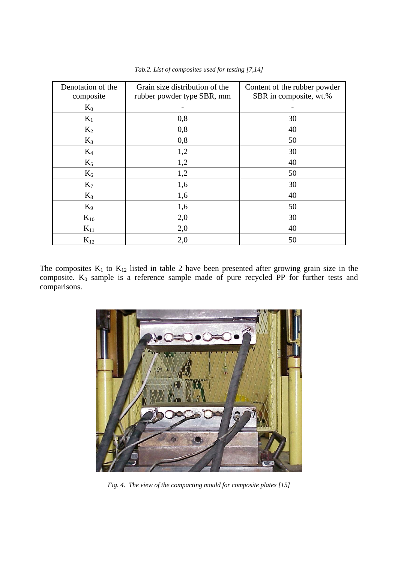| Denotation of the | Grain size distribution of the | Content of the rubber powder |
|-------------------|--------------------------------|------------------------------|
| composite         | rubber powder type SBR, mm     | SBR in composite, wt.%       |
| $K_0$             |                                |                              |
| $K_1$             | 0,8                            | 30                           |
| $K_2$             | 0,8                            | 40                           |
| $K_3$             | 0,8                            | 50                           |
| $K_4$             | 1,2                            | 30                           |
| $K_5$             | 1,2                            | 40                           |
| $K_6$             | 1,2                            | 50                           |
| K <sub>7</sub>    | 1,6                            | 30                           |
| $K_8$             | 1,6                            | 40                           |
| $K_9$             | 1,6                            | 50                           |
| $K_{10}$          | 2,0                            | 30                           |
| $K_{11}$          | 2,0                            | 40                           |
| $K_{12}$          | 2,0                            | 50                           |

*Tab.2. List of composites used for testing [7,14]* 

The composites  $K_1$  to  $K_{12}$  listed in table 2 have been presented after growing grain size in the composite.  $K_0$  sample is a reference sample made of pure recycled PP for further tests and comparisons.



*Fig. 4. The view of the compacting mould for composite plates [15]*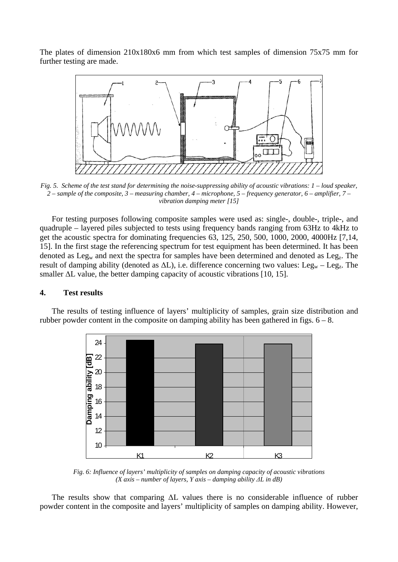The plates of dimension 210x180x6 mm from which test samples of dimension 75x75 mm for further testing are made.



*Fig. 5. Scheme of the test stand for determining the noise-suppressing ability of acoustic vibrations: 1 – loud speaker, 2 – sample of the composite, 3 – measuring chamber, 4 – microphone, 5 – frequency generator, 6 – amplifier, 7 – vibration damping meter [15]* 

 For testing purposes following composite samples were used as: single-, double-, triple-, and quadruple – layered piles subjected to tests using frequency bands ranging from 63Hz to 4kHz to get the acoustic spectra for dominating frequencies 63, 125, 250, 500, 1000, 2000, 4000Hz [7,14, 15]. In the first stage the referencing spectrum for test equipment has been determined. It has been denoted as  $Leg_w$  and next the spectra for samples have been determined and denoted as  $Leg_z$ . The result of damping ability (denoted as  $\Delta L$ ), i.e. difference concerning two values: Leg<sub>w</sub> – Leg<sub>z</sub>. The smaller  $\Delta L$  value, the better damping capacity of acoustic vibrations [10, 15].

#### **4. Test results**

 The results of testing influence of layers' multiplicity of samples, grain size distribution and rubber powder content in the composite on damping ability has been gathered in figs.  $6 - 8$ .



*Fig. 6: Influence of layers' multiplicity of samples on damping capacity of acoustic vibrations (X axis – number of layers, Y axis – damping ability ΔL in dB)* 

 The results show that comparing ΔL values there is no considerable influence of rubber powder content in the composite and layers' multiplicity of samples on damping ability. However,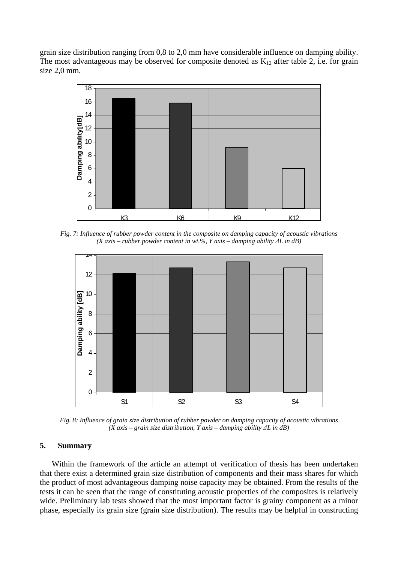grain size distribution ranging from 0,8 to 2,0 mm have considerable influence on damping ability. The most advantageous may be observed for composite denoted as  $K_{12}$  after table 2, i.e. for grain size 2,0 mm.



*Fig. 7: Influence of rubber powder content in the composite on damping capacity of acoustic vibrations (X axis – rubber powder content in wt.%, Y axis – damping ability ΔL in dB)* 



*Fig. 8: Influence of grain size distribution of rubber powder on damping capacity of acoustic vibrations (X axis – grain size distribution, Y axis – damping ability ΔL in dB)* 

#### **5. Summary**

 Within the framework of the article an attempt of verification of thesis has been undertaken that there exist a determined grain size distribution of components and their mass shares for which the product of most advantageous damping noise capacity may be obtained. From the results of the tests it can be seen that the range of constituting acoustic properties of the composites is relatively wide. Preliminary lab tests showed that the most important factor is grainy component as a minor phase, especially its grain size (grain size distribution). The results may be helpful in constructing